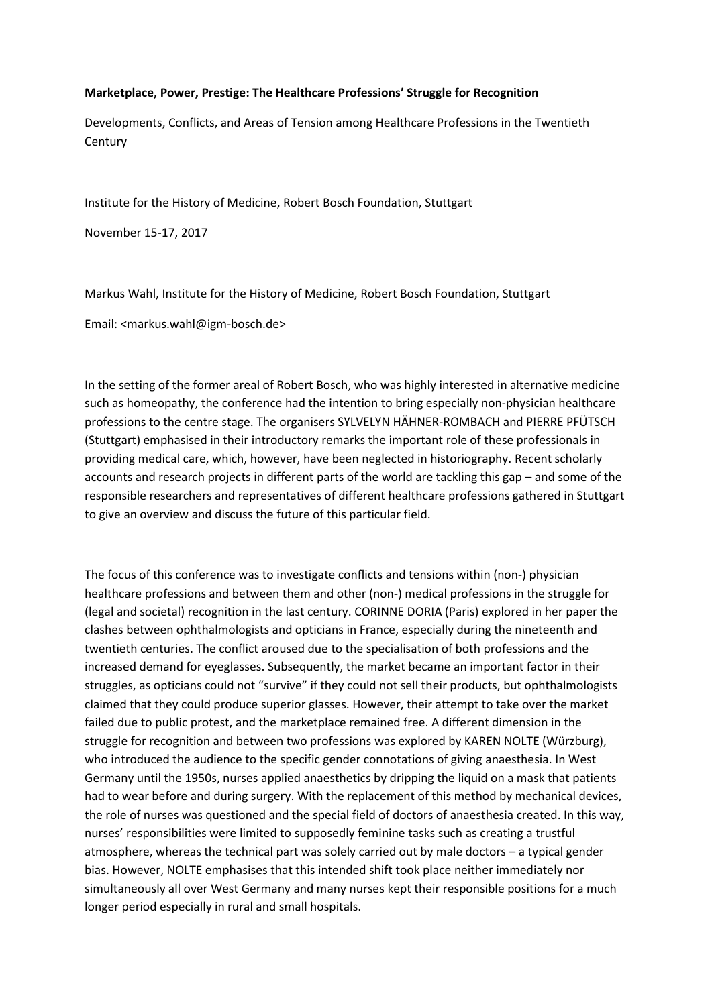## **Marketplace, Power, Prestige: The Healthcare Professions' Struggle for Recognition**

Developments, Conflicts, and Areas of Tension among Healthcare Professions in the Twentieth **Century** 

Institute for the History of Medicine, Robert Bosch Foundation, Stuttgart

November 15-17, 2017

Markus Wahl, Institute for the History of Medicine, Robert Bosch Foundation, Stuttgart

Email: <markus.wahl@igm-bosch.de>

In the setting of the former areal of Robert Bosch, who was highly interested in alternative medicine such as homeopathy, the conference had the intention to bring especially non-physician healthcare professions to the centre stage. The organisers SYLVELYN HÄHNER-ROMBACH and PIERRE PFÜTSCH (Stuttgart) emphasised in their introductory remarks the important role of these professionals in providing medical care, which, however, have been neglected in historiography. Recent scholarly accounts and research projects in different parts of the world are tackling this gap – and some of the responsible researchers and representatives of different healthcare professions gathered in Stuttgart to give an overview and discuss the future of this particular field.

The focus of this conference was to investigate conflicts and tensions within (non-) physician healthcare professions and between them and other (non-) medical professions in the struggle for (legal and societal) recognition in the last century. CORINNE DORIA (Paris) explored in her paper the clashes between ophthalmologists and opticians in France, especially during the nineteenth and twentieth centuries. The conflict aroused due to the specialisation of both professions and the increased demand for eyeglasses. Subsequently, the market became an important factor in their struggles, as opticians could not "survive" if they could not sell their products, but ophthalmologists claimed that they could produce superior glasses. However, their attempt to take over the market failed due to public protest, and the marketplace remained free. A different dimension in the struggle for recognition and between two professions was explored by KAREN NOLTE (Würzburg), who introduced the audience to the specific gender connotations of giving anaesthesia. In West Germany until the 1950s, nurses applied anaesthetics by dripping the liquid on a mask that patients had to wear before and during surgery. With the replacement of this method by mechanical devices, the role of nurses was questioned and the special field of doctors of anaesthesia created. In this way, nurses' responsibilities were limited to supposedly feminine tasks such as creating a trustful atmosphere, whereas the technical part was solely carried out by male doctors – a typical gender bias. However, NOLTE emphasises that this intended shift took place neither immediately nor simultaneously all over West Germany and many nurses kept their responsible positions for a much longer period especially in rural and small hospitals.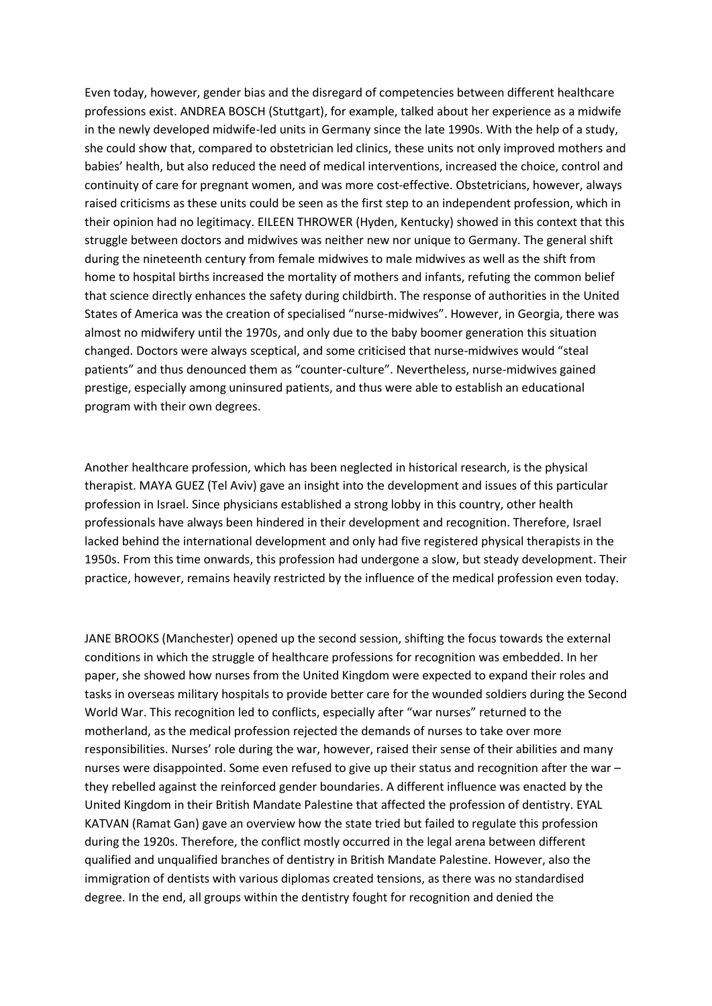Even today, however, gender bias and the disregard of competencies between different healthcare professions exist. ANDREA BOSCH (Stuttgart), for example, talked about her experience as a midwife in the newly developed midwife-led units in Germany since the late 1990s. With the help of a study, she could show that, compared to obstetrician led clinics, these units not only improved mothers and babies' health, but also reduced the need of medical interventions, increased the choice, control and continuity of care for pregnant women, and was more cost-effective. Obstetricians, however, always raised criticisms as these units could be seen as the first step to an independent profession, which in their opinion had no legitimacy. EILEEN THROWER (Hyden, Kentucky) showed in this context that this struggle between doctors and midwives was neither new nor unique to Germany. The general shift during the nineteenth century from female midwives to male midwives as well as the shift from home to hospital births increased the mortality of mothers and infants, refuting the common belief that science directly enhances the safety during childbirth. The response of authorities in the United States of America was the creation of specialised "nurse-midwives". However, in Georgia, there was almost no midwifery until the 1970s, and only due to the baby boomer generation this situation changed. Doctors were always sceptical, and some criticised that nurse-midwives would "steal patients" and thus denounced them as "counter-culture". Nevertheless, nurse-midwives gained prestige, especially among uninsured patients, and thus were able to establish an educational program with their own degrees.

Another healthcare profession, which has been neglected in historical research, is the physical therapist. MAYA GUEZ (Tel Aviv) gave an insight into the development and issues of this particular profession in Israel. Since physicians established a strong lobby in this country, other health professionals have always been hindered in their development and recognition. Therefore, Israel lacked behind the international development and only had five registered physical therapists in the 1950s. From this time onwards, this profession had undergone a slow, but steady development. Their practice, however, remains heavily restricted by the influence of the medical profession even today.

JANE BROOKS (Manchester) opened up the second session, shifting the focus towards the external conditions in which the struggle of healthcare professions for recognition was embedded. In her paper, she showed how nurses from the United Kingdom were expected to expand their roles and tasks in overseas military hospitals to provide better care for the wounded soldiers during the Second World War. This recognition led to conflicts, especially after "war nurses" returned to the motherland, as the medical profession rejected the demands of nurses to take over more responsibilities. Nurses' role during the war, however, raised their sense of their abilities and many nurses were disappointed. Some even refused to give up their status and recognition after the war – they rebelled against the reinforced gender boundaries. A different influence was enacted by the United Kingdom in their British Mandate Palestine that affected the profession of dentistry. EYAL KATVAN (Ramat Gan) gave an overview how the state tried but failed to regulate this profession during the 1920s. Therefore, the conflict mostly occurred in the legal arena between different qualified and unqualified branches of dentistry in British Mandate Palestine. However, also the immigration of dentists with various diplomas created tensions, as there was no standardised degree. In the end, all groups within the dentistry fought for recognition and denied the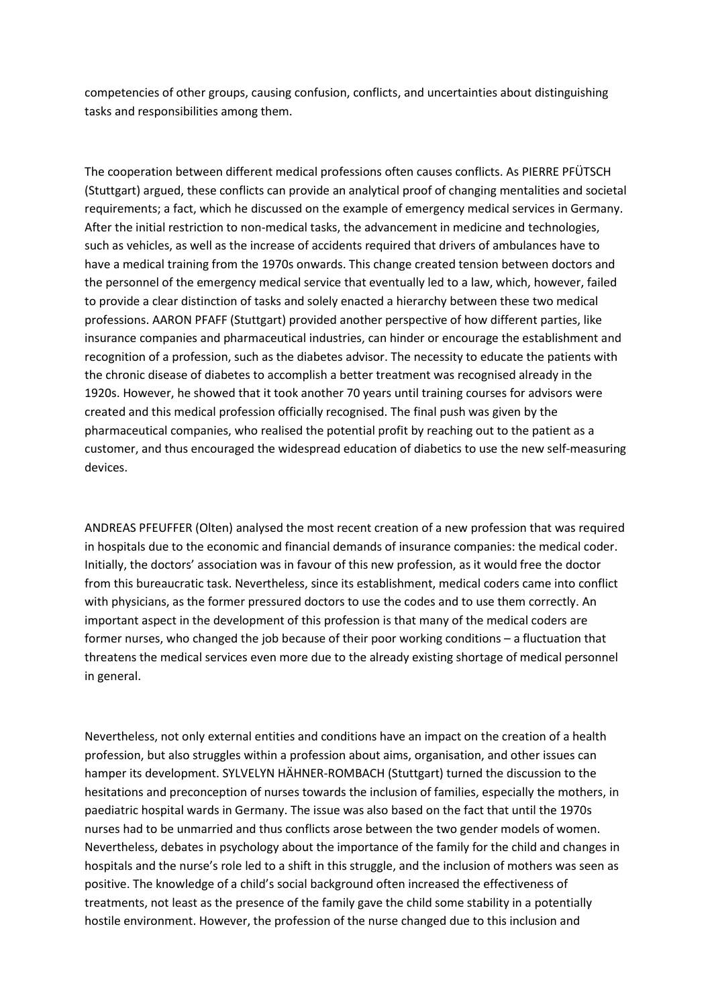competencies of other groups, causing confusion, conflicts, and uncertainties about distinguishing tasks and responsibilities among them.

The cooperation between different medical professions often causes conflicts. As PIERRE PFÜTSCH (Stuttgart) argued, these conflicts can provide an analytical proof of changing mentalities and societal requirements; a fact, which he discussed on the example of emergency medical services in Germany. After the initial restriction to non-medical tasks, the advancement in medicine and technologies, such as vehicles, as well as the increase of accidents required that drivers of ambulances have to have a medical training from the 1970s onwards. This change created tension between doctors and the personnel of the emergency medical service that eventually led to a law, which, however, failed to provide a clear distinction of tasks and solely enacted a hierarchy between these two medical professions. AARON PFAFF (Stuttgart) provided another perspective of how different parties, like insurance companies and pharmaceutical industries, can hinder or encourage the establishment and recognition of a profession, such as the diabetes advisor. The necessity to educate the patients with the chronic disease of diabetes to accomplish a better treatment was recognised already in the 1920s. However, he showed that it took another 70 years until training courses for advisors were created and this medical profession officially recognised. The final push was given by the pharmaceutical companies, who realised the potential profit by reaching out to the patient as a customer, and thus encouraged the widespread education of diabetics to use the new self-measuring devices.

ANDREAS PFEUFFER (Olten) analysed the most recent creation of a new profession that was required in hospitals due to the economic and financial demands of insurance companies: the medical coder. Initially, the doctors' association was in favour of this new profession, as it would free the doctor from this bureaucratic task. Nevertheless, since its establishment, medical coders came into conflict with physicians, as the former pressured doctors to use the codes and to use them correctly. An important aspect in the development of this profession is that many of the medical coders are former nurses, who changed the job because of their poor working conditions – a fluctuation that threatens the medical services even more due to the already existing shortage of medical personnel in general.

Nevertheless, not only external entities and conditions have an impact on the creation of a health profession, but also struggles within a profession about aims, organisation, and other issues can hamper its development. SYLVELYN HÄHNER-ROMBACH (Stuttgart) turned the discussion to the hesitations and preconception of nurses towards the inclusion of families, especially the mothers, in paediatric hospital wards in Germany. The issue was also based on the fact that until the 1970s nurses had to be unmarried and thus conflicts arose between the two gender models of women. Nevertheless, debates in psychology about the importance of the family for the child and changes in hospitals and the nurse's role led to a shift in this struggle, and the inclusion of mothers was seen as positive. The knowledge of a child's social background often increased the effectiveness of treatments, not least as the presence of the family gave the child some stability in a potentially hostile environment. However, the profession of the nurse changed due to this inclusion and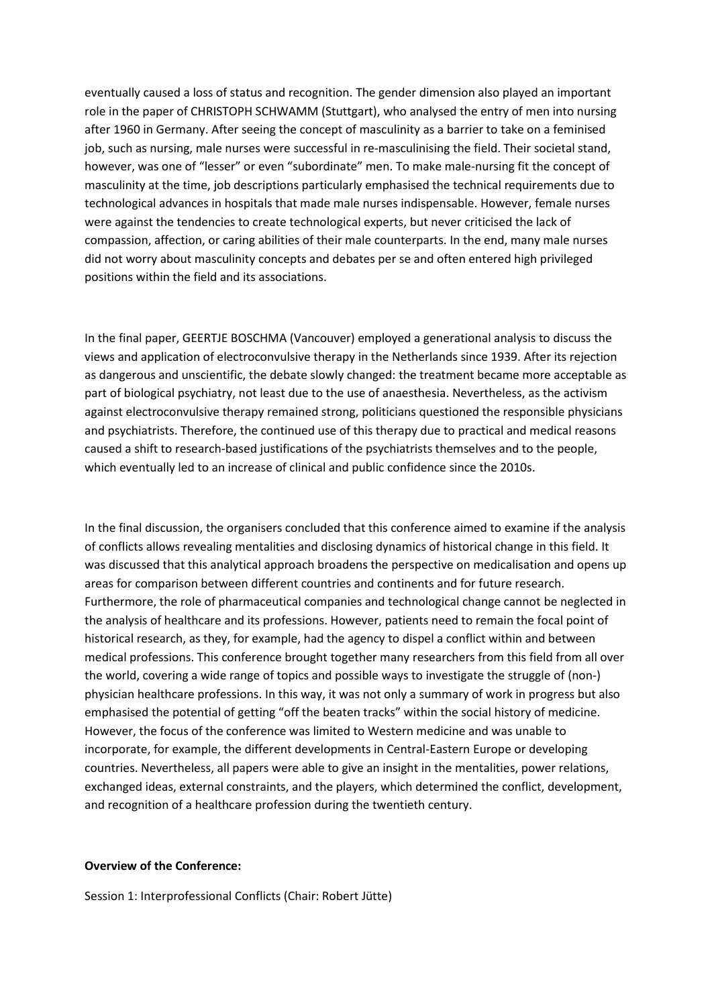eventually caused a loss of status and recognition. The gender dimension also played an important role in the paper of CHRISTOPH SCHWAMM (Stuttgart), who analysed the entry of men into nursing after 1960 in Germany. After seeing the concept of masculinity as a barrier to take on a feminised job, such as nursing, male nurses were successful in re-masculinising the field. Their societal stand, however, was one of "lesser" or even "subordinate" men. To make male-nursing fit the concept of masculinity at the time, job descriptions particularly emphasised the technical requirements due to technological advances in hospitals that made male nurses indispensable. However, female nurses were against the tendencies to create technological experts, but never criticised the lack of compassion, affection, or caring abilities of their male counterparts. In the end, many male nurses did not worry about masculinity concepts and debates per se and often entered high privileged positions within the field and its associations.

In the final paper, GEERTJE BOSCHMA (Vancouver) employed a generational analysis to discuss the views and application of electroconvulsive therapy in the Netherlands since 1939. After its rejection as dangerous and unscientific, the debate slowly changed: the treatment became more acceptable as part of biological psychiatry, not least due to the use of anaesthesia. Nevertheless, as the activism against electroconvulsive therapy remained strong, politicians questioned the responsible physicians and psychiatrists. Therefore, the continued use of this therapy due to practical and medical reasons caused a shift to research-based justifications of the psychiatrists themselves and to the people, which eventually led to an increase of clinical and public confidence since the 2010s.

In the final discussion, the organisers concluded that this conference aimed to examine if the analysis of conflicts allows revealing mentalities and disclosing dynamics of historical change in this field. It was discussed that this analytical approach broadens the perspective on medicalisation and opens up areas for comparison between different countries and continents and for future research. Furthermore, the role of pharmaceutical companies and technological change cannot be neglected in the analysis of healthcare and its professions. However, patients need to remain the focal point of historical research, as they, for example, had the agency to dispel a conflict within and between medical professions. This conference brought together many researchers from this field from all over the world, covering a wide range of topics and possible ways to investigate the struggle of (non-) physician healthcare professions. In this way, it was not only a summary of work in progress but also emphasised the potential of getting "off the beaten tracks" within the social history of medicine. However, the focus of the conference was limited to Western medicine and was unable to incorporate, for example, the different developments in Central-Eastern Europe or developing countries. Nevertheless, all papers were able to give an insight in the mentalities, power relations, exchanged ideas, external constraints, and the players, which determined the conflict, development, and recognition of a healthcare profession during the twentieth century.

## **Overview of the Conference:**

Session 1: Interprofessional Conflicts (Chair: Robert Jütte)